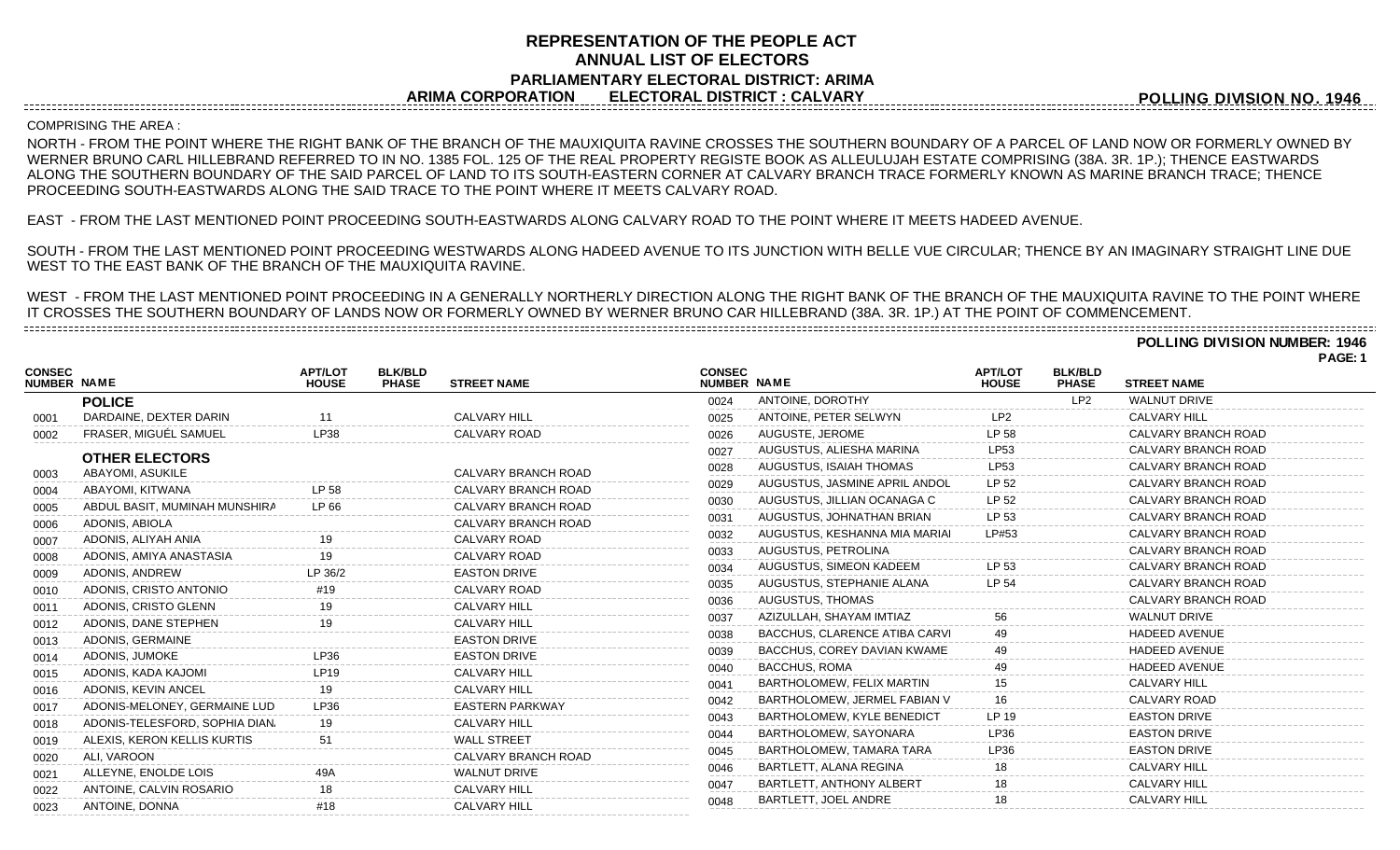## **REPRESENTATION OF THE PEOPLE ACT ANNUAL LIST OF ELECTORS PARLIAMENTARY ELECTORAL DISTRICT: ARIMA ARIMA CORPORATION ELECTORAL DISTRICT : CALVARY**

**POLLING DIVISION NO. 1946**

## COMPRISING THE AREA :

-------------------------------------

NORTH - FROM THE POINT WHERE THE RIGHT BANK OF THE BRANCH OF THE MAUXIQUITA RAVINE CROSSES THE SOUTHERN BOUNDARY OF A PARCEL OF LAND NOW OR FORMERLY OWNED BY WERNER BRUNO CARL HILLEBRAND REFERRED TO IN NO. 1385 FOL. 125 OF THE REAL PROPERTY REGISTE BOOK AS ALLEULUJAH ESTATE COMPRISING (38A. 3R. 1P.); THENCE EASTWARDS ALONG THE SOUTHERN BOUNDARY OF THE SAID PARCEL OF LAND TO ITS SOUTH-EASTERN CORNER AT CALVARY BRANCH TRACE FORMERLY KNOWN AS MARINE BRANCH TRACE; THENCE PROCEEDING SOUTH-EASTWARDS ALONG THE SAID TRACE TO THE POINT WHERE IT MEETS CALVARY ROAD.

EAST - FROM THE LAST MENTIONED POINT PROCEEDING SOUTH-EASTWARDS ALONG CALVARY ROAD TO THE POINT WHERE IT MEETS HADEED AVENUE.

SOUTH - FROM THE LAST MENTIONED POINT PROCEEDING WESTWARDS ALONG HADEED AVENUE TO ITS JUNCTION WITH BELLE VUE CIRCULAR; THENCE BY AN IMAGINARY STRAIGHT LINE DUE WEST TO THE EAST BANK OF THE BRANCH OF THE MAUXIQUITA RAVINE.

WEST - FROM THE LAST MENTIONED POINT PROCEEDING IN A GENERALLY NORTHERLY DIRECTION ALONG THE RIGHT BANK OF THE BRANCH OF THE MAUXIQUITA RAVINE TO THE POINT WHERE IT CROSSES THE SOUTHERN BOUNDARY OF LANDS NOW OR FORMERLY OWNED BY WERNER BRUNO CAR HILLEBRAND (38A. 3R. 1P.) AT THE POINT OF COMMENCEMENT.

**POLLING DIVISION NUMBER: 1946**

|                              |                                |                                |                                |                            |                              |                                 |                                |                                |                      | PAGE: 1 |
|------------------------------|--------------------------------|--------------------------------|--------------------------------|----------------------------|------------------------------|---------------------------------|--------------------------------|--------------------------------|----------------------|---------|
| <b>CONSEC</b><br>NUMBER NAME |                                | <b>APT/LOT</b><br><b>HOUSE</b> | <b>BLK/BLD</b><br><b>PHASE</b> | <b>STREET NAME</b>         | <b>CONSEC</b><br>NUMBER NAME |                                 | <b>APT/LOT</b><br><b>HOUSE</b> | <b>BLK/BLD</b><br><b>PHASE</b> | <b>STREET NAME</b>   |         |
|                              | <b>POLICE</b>                  |                                |                                |                            | 0024                         | ANTOINE, DOROTHY                |                                | LP2                            | <b>WALNUT DRIVE</b>  |         |
| 0001                         | DARDAINE, DEXTER DARIN         | 11                             |                                | <b>CALVARY HILL</b>        | 0025                         | ANTOINE, PETER SELWYN           | LP <sub>2</sub>                |                                | <b>CALVARY HILL</b>  |         |
| 0002                         | FRASER, MIGUÉL SAMUEL          | LP38                           |                                | CALVARY ROAD               | 0026                         | AUGUSTE, JEROME                 | LP 58                          |                                | CALVARY BRANCH ROAD  |         |
|                              | <b>OTHER ELECTORS</b>          |                                |                                |                            | 0027                         | AUGUSTUS, ALIESHA MARINA        | LP53                           |                                | CALVARY BRANCH ROAD  |         |
| 0003                         | ABAYOMI. ASUKILE               |                                |                                | CALVARY BRANCH ROAD        | 0028                         | AUGUSTUS, ISAIAH THOMAS         | <b>LP53</b>                    |                                | CALVARY BRANCH ROAD  |         |
| 0004                         | ABAYOMI, KITWANA               | LP 58                          |                                | <b>CALVARY BRANCH ROAD</b> | 0029                         | AUGUSTUS, JASMINE APRIL ANDOL   | LP 52                          |                                | CALVARY BRANCH ROAD  |         |
| 0005                         | ABDUL BASIT, MUMINAH MUNSHIRA  | LP 66                          |                                | CALVARY BRANCH ROAD        | 0030                         | AUGUSTUS, JILLIAN OCANAGA C     | LP 52                          |                                | CALVARY BRANCH ROAD  |         |
| 0006                         | ADONIS, ABIOLA                 |                                |                                | CALVARY BRANCH ROAD        | 0031                         | AUGUSTUS, JOHNATHAN BRIAN       | LP 53                          |                                | CALVARY BRANCH ROAD  |         |
| 0007                         | ADONIS, ALIYAH ANIA            |                                |                                | CALVARY ROAD               | 0032                         | AUGUSTUS, KESHANNA MIA MARIAI   | LP#53                          |                                | CALVARY BRANCH ROAD  |         |
| 0008                         | ADONIS, AMIYA ANASTASIA        |                                |                                | CALVARY ROAD               | 0033                         | AUGUSTUS, PETROLINA             |                                |                                | CALVARY BRANCH ROAD  |         |
| 0009                         | ADONIS, ANDREW                 | P 36/2                         |                                | <b>EASTON DRIVE</b>        | 0034                         | AUGUSTUS, SIMEON KADEEM         | LP 53                          |                                | CALVARY BRANCH ROAD  |         |
| 0010                         | ADONIS, CRISTO ANTONIO         | #19                            |                                | CALVARY ROAD               | 0035                         | AUGUSTUS, STEPHANIE ALANA       | LP 54                          |                                | CALVARY BRANCH ROAD  |         |
| 0011                         | ADONIS, CRISTO GLENN           |                                |                                | <b>CALVARY HILL</b>        | 0036                         | AUGUSTUS, THOMAS                |                                |                                | CALVARY BRANCH ROAD  |         |
| 0012                         | ADONIS, DANE STEPHEN           |                                |                                | <b>CALVARY HILL</b>        | 0037                         | AZIZULLAH. SHAYAM IMTIAZ        | 56                             |                                | <b>WALNUT DRIVE</b>  |         |
| 0013                         | ADONIS, GERMAINE               |                                |                                | <b>EASTON DRIVE</b>        | 0038                         | BACCHUS, CLARENCE ATIBA CARVI   |                                |                                | <b>HADEED AVENUE</b> |         |
| 0014                         | ADONIS, JUMOKE                 | I P36                          |                                | <b>EASTON DRIVE</b>        | 0039                         | BACCHUS, COREY DAVIAN KWAME     |                                |                                | <b>HADEED AVENUE</b> |         |
| 0015                         | ADONIS, KADA KAJOMI            | <b>LP19</b>                    |                                | <b>CALVARY HILL</b>        | 0040                         | <b>BACCHUS, ROMA</b>            |                                |                                | <b>HADEED AVENUE</b> |         |
| 0016                         | ADONIS, KEVIN ANCEL            | 19                             |                                | <b>CALVARY HILL</b>        | 0041                         | BARTHOLOMEW, FELIX MARTIN       |                                |                                | <b>CALVARY HILL</b>  |         |
| 0017                         | ADONIS-MELONEY, GERMAINE LUD   | LP36                           |                                | <b>EASTERN PARKWAY</b>     | 0042                         | BARTHOLOMEW, JERMEL FABIAN V    | 16                             |                                | CALVARY ROAD         |         |
| 0018                         | ADONIS-TELESFORD, SOPHIA DIAN. | 19                             |                                | <b>CALVARY HILL</b>        | 0043                         | BARTHOLOMEW, KYLE BENEDICT      | LP 19                          |                                | <b>EASTON DRIVE</b>  |         |
| 0019                         | ALEXIS, KERON KELLIS KURTIS    | 51                             |                                | <b>WALL STREET</b>         | 0044                         | BARTHOLOMEW, SAYONARA           | LP36                           |                                | <b>EASTON DRIVE</b>  |         |
| 0020                         | ALI. VAROON                    |                                |                                | <b>CALVARY BRANCH ROAD</b> | 0045                         | BARTHOLOMEW, TAMARA TARA        | LP36                           |                                | <b>EASTON DRIVE</b>  |         |
| 0021                         | ALLEYNE, ENOLDE LOIS           |                                |                                | <b>WALNUT DRIVE</b>        | 0046                         | BARTLETT, ALANA REGINA          |                                |                                | <b>CALVARY HILL</b>  |         |
| 0022                         | ANTOINE, CALVIN ROSARIO        |                                |                                | <b>CALVARY HILL</b>        | 0047                         | <b>BARTLETT, ANTHONY ALBERT</b> |                                |                                | <b>CALVARY HILL</b>  |         |
| 0023                         | ANTOINE, DONNA                 | #18                            |                                | <b>CALVARY HILL</b>        | 0048                         | BARTLETT, JOEL ANDRE            |                                |                                | CAI VARY HILL        |         |
|                              |                                |                                |                                |                            |                              |                                 |                                |                                |                      |         |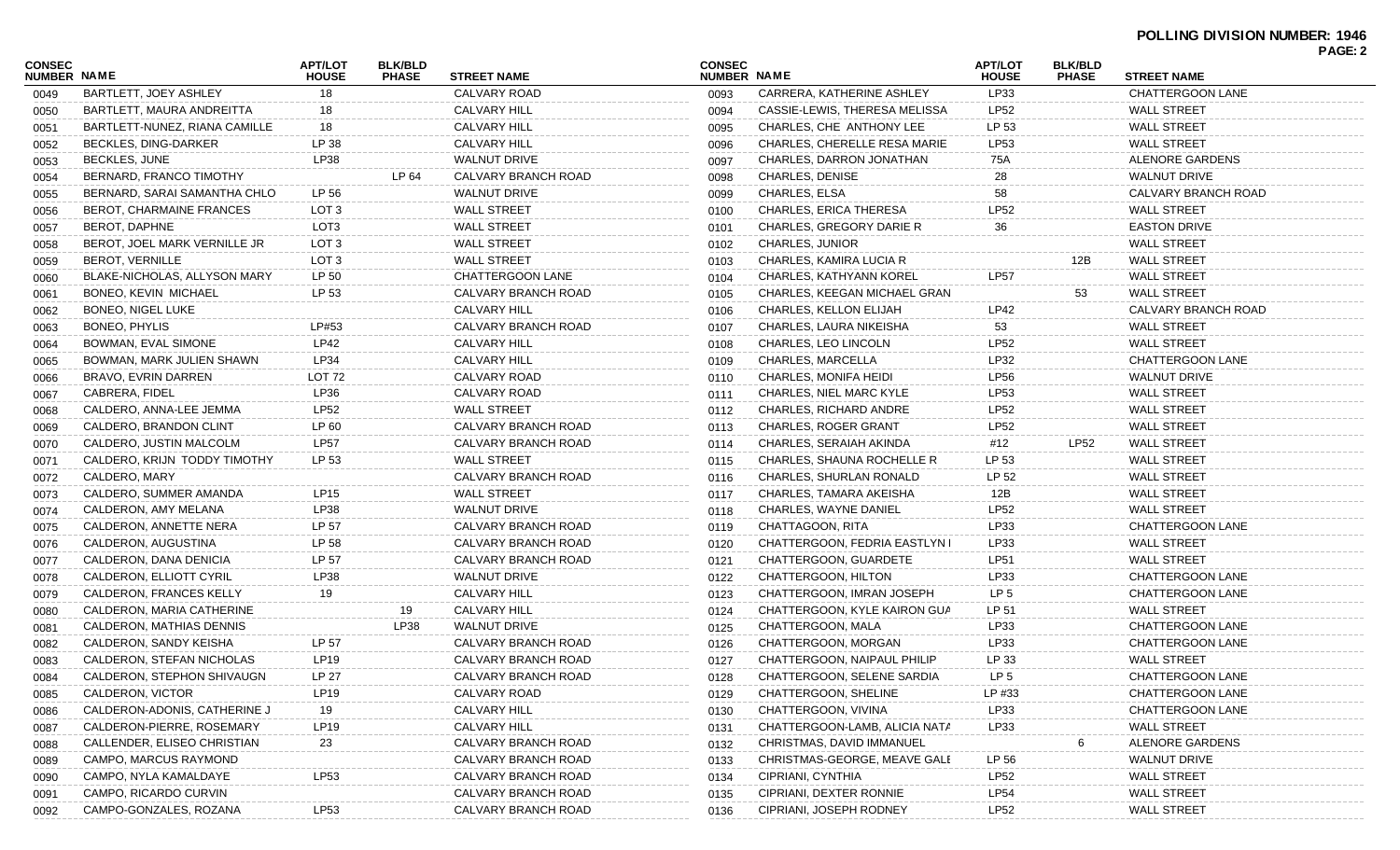| <b>CONSEC</b> |                               | <b>APT/LOT</b>    | <b>BLK/BLD</b> |                            | <b>CONSEC</b> |                                     | <b>APT/LOT</b>  | <b>BLK/BLD</b> |                         | PAGE: 2 |
|---------------|-------------------------------|-------------------|----------------|----------------------------|---------------|-------------------------------------|-----------------|----------------|-------------------------|---------|
| NUMBER NAME   |                               | <b>HOUSE</b>      | <b>PHASE</b>   | <b>STREET NAME</b>         | NUMBER NAME   |                                     | <b>HOUSE</b>    | <b>PHASE</b>   | <b>STREET NAME</b>      |         |
| 0049          | BARTLETT, JOEY ASHLEY         | 18                |                | CALVARY ROAD               | 0093          | CARRERA, KATHERINE ASHLEY           | LP33            |                | <b>CHATTERGOON LANE</b> |         |
| 0050          | BARTLETT, MAURA ANDREITTA     | 18                |                | <b>CALVARY HILL</b>        | 0094          | CASSIE-LEWIS, THERESA MELISSA       | LP52            |                | <b>WALL STREET</b>      |         |
| 0051          | BARTLETT-NUNEZ, RIANA CAMILLE | 18                |                | <b>CALVARY HILL</b>        | 0095          | CHARLES, CHE ANTHONY LEE            | LP 53           |                | <b>WALL STREET</b>      |         |
| 0052          | <b>BECKLES, DING-DARKER</b>   | LP 38             |                | <b>CALVARY HILL</b>        | 0096          | <b>CHARLES, CHERELLE RESA MARIE</b> | LP53            |                | <b>WALL STREET</b>      |         |
| 0053          | <b>BECKLES, JUNE</b>          | LP38              |                | <b>WALNUT DRIVE</b>        | 0097          | CHARLES, DARRON JONATHAN            | 75A             |                | ALENORE GARDENS         |         |
| 0054          | BERNARD, FRANCO TIMOTHY       |                   | LP 64          | CALVARY BRANCH ROAD        | 0098          | <b>CHARLES, DENISE</b>              | 28              |                | <b>WALNUT DRIVE</b>     |         |
| 0055          | BERNARD, SARAI SAMANTHA CHLO  | LP 56             |                | <b>WALNUT DRIVE</b>        | 0099          | CHARLES, ELSA                       | 58              |                | CALVARY BRANCH ROAD     |         |
| 0056          | BEROT, CHARMAINE FRANCES      | LOT <sub>3</sub>  |                | <b>WALL STREET</b>         | 0100          | <b>CHARLES, ERICA THERESA</b>       | LP52            |                | <b>WALL STREET</b>      |         |
| 0057          | <b>BEROT, DAPHNE</b>          | LOT3              |                | <b>WALL STREET</b>         | 0101          | CHARLES, GREGORY DARIE R            | 36              |                | <b>EASTON DRIVE</b>     |         |
| 0058          | BEROT, JOEL MARK VERNILLE JR  | LOT <sub>3</sub>  |                | <b>WALL STREET</b>         | 0102          | <b>CHARLES, JUNIOR</b>              |                 |                | <b>WALL STREET</b>      |         |
| 0059          | <b>BEROT, VERNILLE</b>        | LOT <sub>3</sub>  |                | <b>WALL STREET</b>         | 0103          | CHARLES, KAMIRA LUCIA R             |                 | 12B            | <b>WALL STREET</b>      |         |
| 0060          | BLAKE-NICHOLAS, ALLYSON MARY  | LP 50             |                | <b>CHATTERGOON LANE</b>    | 0104          | CHARLES, KATHYANN KOREL             | <b>LP57</b>     |                | <b>WALL STREET</b>      |         |
| 0061          | BONEO, KEVIN MICHAEL          | LP 53             |                | CALVARY BRANCH ROAD        | 0105          | CHARLES, KEEGAN MICHAEL GRAN        |                 | 53             | <b>WALL STREET</b>      |         |
| 0062          | BONEO, NIGEL LUKE             |                   |                | <b>CALVARY HILL</b>        | 0106          | CHARLES, KELLON ELIJAH              | LP42            |                | CALVARY BRANCH ROAD     |         |
| 0063          | BONEO, PHYLIS                 | LP#53             |                | CALVARY BRANCH ROAD        | 0107          | CHARLES, LAURA NIKEISHA             | 53              |                | <b>WALL STREET</b>      |         |
| 0064          | BOWMAN, EVAL SIMONE           | <b>LP42</b>       |                | <b>CALVARY HILL</b>        | 0108          | CHARLES, LEO LINCOLN                | <b>LP52</b>     |                | <b>WALL STREET</b>      |         |
| 0065          | BOWMAN, MARK JULIEN SHAWN     | LP34              |                | <b>CALVARY HILL</b>        | 0109          | CHARLES, MARCELLA                   | LP32            |                | <b>CHATTERGOON LANE</b> |         |
| 0066          | <b>BRAVO, EVRIN DARREN</b>    | LOT <sub>72</sub> |                | CALVARY ROAD               | 0110          | CHARLES, MONIFA HEIDI               | <b>LP56</b>     |                | <b>WALNUT DRIVE</b>     |         |
| 0067          | CABRERA, FIDEL                | LP36              |                | CALVARY ROAD               | 0111          | CHARLES, NIEL MARC KYLE             | LP53            |                | <b>WALL STREET</b>      |         |
| 0068          | CALDERO, ANNA-LEE JEMMA       | LP52              |                | <b>WALL STREET</b>         | 0112          | <b>CHARLES, RICHARD ANDRE</b>       | <b>LP52</b>     |                | <b>WALL STREET</b>      |         |
| 0069          | CALDERO, BRANDON CLINT        | LP 60             |                | <b>CALVARY BRANCH ROAD</b> | 0113          | <b>CHARLES, ROGER GRANT</b>         | <b>LP52</b>     |                | <b>WALL STREET</b>      |         |
| 0070          | CALDERO, JUSTIN MALCOLM       | <b>LP57</b>       |                | CALVARY BRANCH ROAD        | 0114          | CHARLES, SERAIAH AKINDA             | #12             | LP52           | <b>WALL STREET</b>      |         |
| 0071          | CALDERO, KRIJN TODDY TIMOTHY  | LP 53             |                | <b>WALL STREET</b>         | 0115          | CHARLES, SHAUNA ROCHELLE R          | LP 53           |                | <b>WALL STREET</b>      |         |
| 0072          | CALDERO, MARY                 |                   |                | CALVARY BRANCH ROAD        | 0116          | CHARLES, SHURLAN RONALD             | LP 52           |                | <b>WALL STREET</b>      |         |
| 0073          | CALDERO, SUMMER AMANDA        | LP15              |                | <b>WALL STREET</b>         | 0117          | CHARLES, TAMARA AKEISHA             | 12B             |                | <b>WALL STREET</b>      |         |
| 0074          | CALDERON, AMY MELANA          | LP38              |                | <b>WALNUT DRIVE</b>        | 0118          | CHARLES, WAYNE DANIEL               | <b>LP52</b>     |                | <b>WALL STREET</b>      |         |
| 0075          | CALDERON, ANNETTE NERA        | LP 57             |                | CALVARY BRANCH ROAD        | 0119          | CHATTAGOON, RITA                    | LP33            |                | <b>CHATTERGOON LANE</b> |         |
| 0076          | CALDERON, AUGUSTINA           | LP 58             |                | CALVARY BRANCH ROAD        | 0120          | CHATTERGOON, FEDRIA EASTLYN I       | LP33            |                | <b>WALL STREET</b>      |         |
| 0077          | CALDERON, DANA DENICIA        | LP 57             |                | CALVARY BRANCH ROAD        | 0121          | CHATTERGOON, GUARDETE               | LP51            |                | <b>WALL STREET</b>      |         |
| 0078          | CALDERON, ELLIOTT CYRIL       | <b>LP38</b>       |                | <b>WALNUT DRIVE</b>        | 0122          | CHATTERGOON, HILTON                 | LP33            |                | <b>CHATTERGOON LANE</b> |         |
|               | CALDERON, FRANCES KELLY       | 19                |                | <b>CALVARY HILL</b>        | 0123          | CHATTERGOON, IMRAN JOSEPH           | LP <sub>5</sub> |                | <b>CHATTERGOON LANE</b> |         |
| 0079          | CALDERON, MARIA CATHERINE     |                   | 19             | <b>CALVARY HILL</b>        | 0124          | CHATTERGOON, KYLE KAIRON GUA        | LP 51           |                | <b>WALL STREET</b>      |         |
| 0080          | CALDERON, MATHIAS DENNIS      |                   | LP38           | <b>WALNUT DRIVE</b>        |               | CHATTERGOON, MALA                   | LP33            |                | <b>CHATTERGOON LANE</b> |         |
| 0081          |                               | LP 57             |                | CALVARY BRANCH ROAD        | 0125          | CHATTERGOON, MORGAN                 | LP33            |                | CHATTERGOON LANE        |         |
| 0082          | CALDERON, SANDY KEISHA        |                   |                |                            | 0126          | CHATTERGOON, NAIPAUL PHILIP         |                 |                | <b>WALL STREET</b>      |         |
| 0083          | CALDERON, STEFAN NICHOLAS     | LP19              |                | CALVARY BRANCH ROAD        | 0127          |                                     | LP 33           |                |                         |         |
| 0084          | CALDERON, STEPHON SHIVAUGN    | LP 27             |                | CALVARY BRANCH ROAD        | 0128          | CHATTERGOON, SELENE SARDIA          | LP <sub>5</sub> |                | CHATTERGOON LANE        |         |
| 0085          | CALDERON, VICTOR              | LP19              |                | CALVARY ROAD               | 0129          | CHATTERGOON, SHELINE                | LP #33          |                | <b>CHATTERGOON LANE</b> |         |
| 0086          | CALDERON-ADONIS, CATHERINE J  | 19                |                | <b>CALVARY HILL</b>        | 0130          | CHATTERGOON, VIVINA                 | LP33            |                | CHATTERGOON LANE        |         |
| 0087          | CALDERON-PIERRE, ROSEMARY     | LP19              |                | CALVARY HILL               | 0131          | CHATTERGOON-LAMB, ALICIA NATA       | LP33            |                | <b>WALL STREET</b>      |         |
| 0088          | CALLENDER, ELISEO CHRISTIAN   | 23                |                | CALVARY BRANCH ROAD        | 0132          | CHRISTMAS, DAVID IMMANUEL           |                 | 6              | ALENORE GARDENS         |         |
| 0089          | CAMPO, MARCUS RAYMOND         |                   |                | CALVARY BRANCH ROAD        | 0133          | CHRISTMAS-GEORGE, MEAVE GALE        | LP 56           |                | <b>WALNUT DRIVE</b>     |         |
| 0090          | CAMPO, NYLA KAMALDAYE         | LP53              |                | CALVARY BRANCH ROAD        | 0134          | CIPRIANI, CYNTHIA                   | <b>LP52</b>     |                | <b>WALL STREET</b>      |         |
| 0091          | CAMPO, RICARDO CURVIN         |                   |                | CALVARY BRANCH ROAD        | 0135          | CIPRIANI, DEXTER RONNIE             | <b>LP54</b>     |                | <b>WALL STREET</b>      |         |
| 0092          | CAMPO-GONZALES, ROZANA        | LP53              |                | CALVARY BRANCH ROAD        | 0136          | CIPRIANI, JOSEPH RODNEY             | LP52            |                | <b>WALL STREET</b>      |         |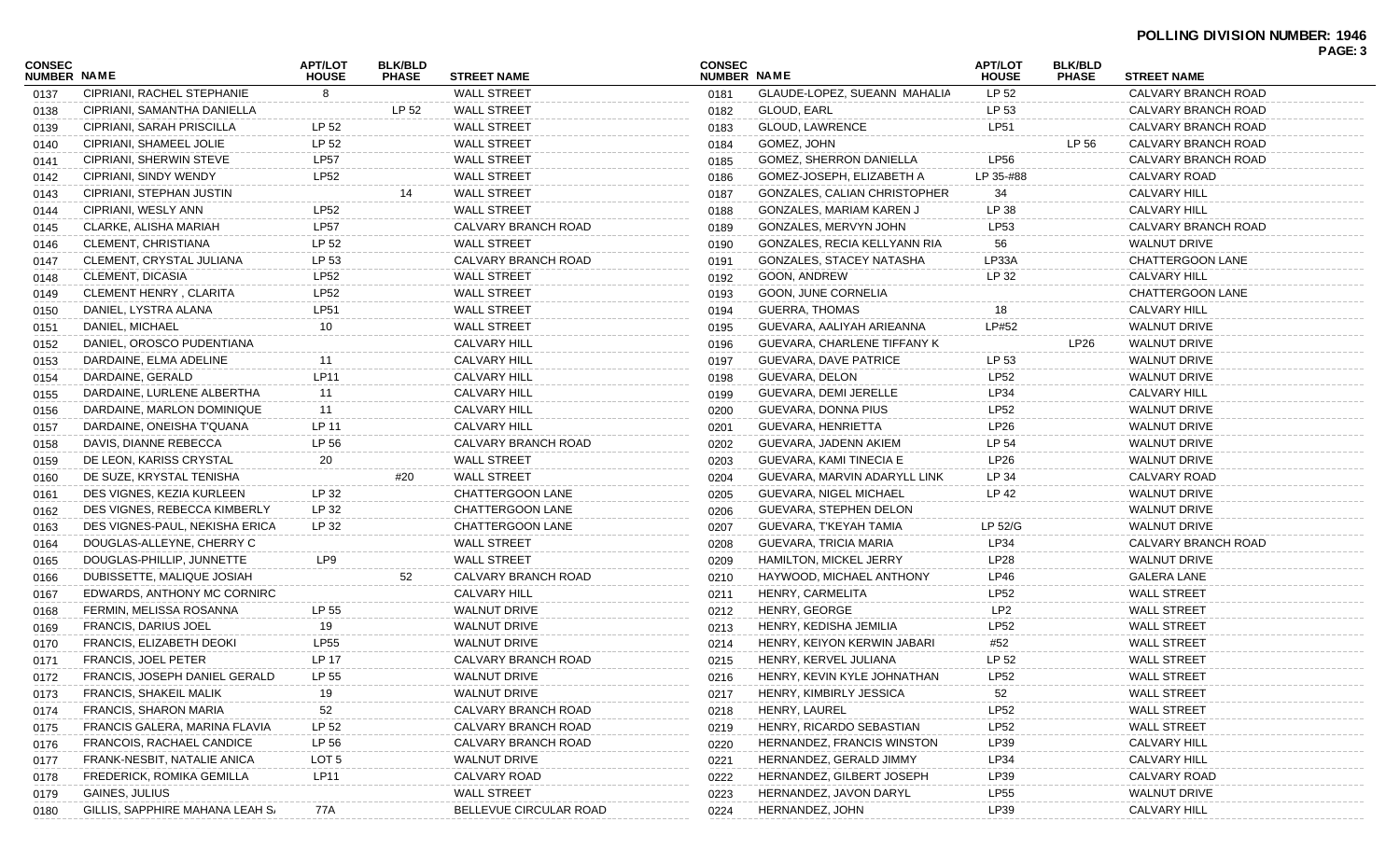## **POLLING DIVISION NUMBER: 1946 PAGE: 3**

| <b>CONSEC</b><br>NUMBER NAME |                                 | <b>APT/LOT</b><br><b>HOUSE</b> | <b>BLK/BLD</b><br><b>PHASE</b> | <b>STREET NAME</b>     | <b>CONSEC</b><br><b>NUMBER NAME</b> |                              | <b>APT/LOT</b><br><b>HOUSE</b> | <b>BLK/BLD</b><br><b>PHASE</b> | <b>STREET NAME</b>  | <b>FAGE.</b> |
|------------------------------|---------------------------------|--------------------------------|--------------------------------|------------------------|-------------------------------------|------------------------------|--------------------------------|--------------------------------|---------------------|--------------|
| 0137                         | CIPRIANI, RACHEL STEPHANIE      | 8                              |                                | <b>WALL STREET</b>     | 0181                                | GLAUDE-LOPEZ, SUEANN MAHALIA | LP 52                          |                                | CALVARY BRANCH ROAD |              |
| 0138                         | CIPRIANI, SAMANTHA DANIELLA     |                                | LP 52                          | <b>WALL STREET</b>     | 0182                                | GLOUD, EARL                  | LP 53                          |                                | CALVARY BRANCH ROAD |              |
| 0139                         | CIPRIANI, SARAH PRISCILLA       | LP 52                          |                                | <b>WALL STREET</b>     | 0183                                | <b>GLOUD, LAWRENCE</b>       | <b>LP51</b>                    |                                | CALVARY BRANCH ROAD |              |
| 0140                         | CIPRIANI, SHAMEEL JOLIE         | LP 52                          |                                | <b>WALL STREET</b>     | 0184                                | GOMEZ, JOHN                  |                                | LP 56                          | CALVARY BRANCH ROAD |              |
| 0141                         | CIPRIANI, SHERWIN STEVE         | <b>LP57</b>                    |                                | <b>WALL STREET</b>     | 0185                                | GOMEZ, SHERRON DANIELLA      | <b>LP56</b>                    |                                | CALVARY BRANCH ROAD |              |
| 0142                         | CIPRIANI, SINDY WENDY           | <b>LP52</b>                    |                                | <b>WALL STREET</b>     | 0186                                | GOMEZ-JOSEPH, ELIZABETH A    | LP 35-#88                      |                                | CALVARY ROAD        |              |
| 0143                         | CIPRIANI, STEPHAN JUSTIN        |                                | 14                             | <b>WALL STREET</b>     | 0187                                | GONZALES, CALIAN CHRISTOPHER | 34                             |                                | <b>CALVARY HILL</b> |              |
| 0144                         | CIPRIANI, WESLY ANN             | <b>LP52</b>                    |                                | <b>WALL STREET</b>     | 0188                                | GONZALES, MARIAM KAREN J     | LP 38                          |                                | <b>CALVARY HILL</b> |              |
| 0145                         | CLARKE, ALISHA MARIAH           | <b>LP57</b>                    |                                | CALVARY BRANCH ROAD    | 0189                                | GONZALES, MERVYN JOHN        | LP53                           |                                | CALVARY BRANCH ROAD |              |
| 0146                         | CLEMENT, CHRISTIANA             | LP 52                          |                                | <b>WALL STREET</b>     | 0190                                | GONZALES, RECIA KELLYANN RIA | 56                             |                                | <b>WALNUT DRIVE</b> |              |
| 0147                         | CLEMENT, CRYSTAL JULIANA        | LP 53                          |                                | CALVARY BRANCH ROAD    | 0191                                | GONZALES, STACEY NATASHA     | LP33A                          |                                | CHATTERGOON LANE    |              |
| 0148                         | <b>CLEMENT, DICASIA</b>         | <b>LP52</b>                    |                                | <b>WALL STREET</b>     | 0192                                | GOON, ANDREW                 | LP 32                          |                                | <b>CALVARY HILL</b> |              |
| 0149                         | CLEMENT HENRY, CLARITA          | <b>LP52</b>                    |                                | <b>WALL STREET</b>     | 0193                                | GOON, JUNE CORNELIA          |                                |                                | CHATTERGOON LANE    |              |
| 0150                         | DANIEL, LYSTRA ALANA            | <b>LP51</b>                    |                                | <b>WALL STREET</b>     | 0194                                | <b>GUERRA, THOMAS</b>        | 18                             |                                | <b>CALVARY HILL</b> |              |
| 0151                         | DANIEL, MICHAEL                 | 10                             |                                | <b>WALL STREET</b>     | 0195                                | GUEVARA, AALIYAH ARIEANNA    | LP#52                          |                                | <b>WALNUT DRIVE</b> |              |
| 0152                         | DANIEL, OROSCO PUDENTIANA       |                                |                                | <b>CALVARY HILL</b>    | 0196                                | GUEVARA, CHARLENE TIFFANY K  |                                | LP <sub>26</sub>               | <b>WALNUT DRIVE</b> |              |
| 0153                         | DARDAINE, ELMA ADELINE          | 11                             |                                | <b>CALVARY HILL</b>    | 0197                                | GUEVARA, DAVE PATRICE        | LP 53                          |                                | <b>WALNUT DRIVE</b> |              |
| 0154                         | DARDAINE, GERALD                | LP11                           |                                | <b>CALVARY HILL</b>    | 0198                                | GUEVARA, DELON               | <b>LP52</b>                    |                                | <b>WALNUT DRIVE</b> |              |
| 0155                         | DARDAINE, LURLENE ALBERTHA      | 11                             |                                | <b>CALVARY HILL</b>    | 0199                                | GUEVARA, DEMI JERELLE        | LP34                           |                                | <b>CALVARY HILL</b> |              |
| 0156                         | DARDAINE, MARLON DOMINIQUE      | 11                             |                                | <b>CALVARY HILL</b>    | 0200                                | GUEVARA, DONNA PIUS          | LP52                           |                                | <b>WALNUT DRIVE</b> |              |
| 0157                         | DARDAINE, ONEISHA T'QUANA       | LP 11                          |                                | <b>CALVARY HILL</b>    | 0201                                | GUEVARA, HENRIETTA           | LP26                           |                                | <b>WALNUT DRIVE</b> |              |
| 0158                         | DAVIS, DIANNE REBECCA           | LP 56                          |                                | CALVARY BRANCH ROAD    | 0202                                | GUEVARA, JADENN AKIEM        | LP 54                          |                                | <b>WALNUT DRIVE</b> |              |
| 0159                         | DE LEON, KARISS CRYSTAL         | 20                             |                                | <b>WALL STREET</b>     | 0203                                | GUEVARA, KAMI TINECIA E      | LP26                           |                                | <b>WALNUT DRIVE</b> |              |
| 0160                         | DE SUZE, KRYSTAL TENISHA        |                                | #20                            | <b>WALL STREET</b>     | 0204                                | GUEVARA, MARVIN ADARYLL LINK | LP 34                          |                                | CALVARY ROAD        |              |
| 0161                         | DES VIGNES, KEZIA KURLEEN       | LP 32                          |                                | CHATTERGOON LANE       | 0205                                | GUEVARA, NIGEL MICHAEL       | LP 42                          |                                | <b>WALNUT DRIVE</b> |              |
| 0162                         | DES VIGNES, REBECCA KIMBERLY    | LP 32                          |                                | CHATTERGOON LANE       | 0206                                | GUEVARA, STEPHEN DELON       |                                |                                | <b>WALNUT DRIVE</b> |              |
| 0163                         | DES VIGNES-PAUL, NEKISHA ERICA  | LP 32                          |                                | CHATTERGOON LANE       | 0207                                | GUEVARA, T'KEYAH TAMIA       | LP 52/G                        |                                | <b>WALNUT DRIVE</b> |              |
| 0164                         | DOUGLAS-ALLEYNE, CHERRY C       |                                |                                | <b>WALL STREET</b>     | 0208                                | GUEVARA, TRICIA MARIA        | LP34                           |                                | CALVARY BRANCH ROAD |              |
| 0165                         | DOUGLAS-PHILLIP, JUNNETTE       | LP9                            |                                | <b>WALL STREET</b>     | 0209                                | HAMILTON, MICKEL JERRY       | LP28                           |                                | <b>WALNUT DRIVE</b> |              |
| 0166                         | DUBISSETTE, MALIQUE JOSIAH      |                                |                                | CALVARY BRANCH ROAD    | 0210                                | HAYWOOD, MICHAEL ANTHONY     | LP46                           |                                | <b>GALERA LANE</b>  |              |
| 0167                         | EDWARDS, ANTHONY MC CORNIRC     |                                |                                | <b>CALVARY HILL</b>    | 0211                                | HENRY, CARMELITA             | <b>LP52</b>                    |                                | <b>WALL STREET</b>  |              |
| 0168                         | FERMIN, MELISSA ROSANNA         | LP 55                          |                                | <b>WALNUT DRIVE</b>    | 0212                                | HENRY, GEORGE                | LP <sub>2</sub>                |                                | <b>WALL STREET</b>  |              |
| 0169                         | <b>FRANCIS, DARIUS JOEL</b>     | 19                             |                                | <b>WALNUT DRIVE</b>    | 0213                                | HENRY, KEDISHA JEMILIA       | <b>LP52</b>                    |                                | <b>WALL STREET</b>  |              |
| 0170                         | FRANCIS, ELIZABETH DEOKI        | <b>LP55</b>                    |                                | <b>WALNUT DRIVE</b>    | 0214                                | HENRY, KEIYON KERWIN JABARI  | #52                            |                                | <b>WALL STREET</b>  |              |
| 0171                         | <b>FRANCIS, JOEL PETER</b>      | LP 17                          |                                | CALVARY BRANCH ROAD    | 0215                                | HENRY, KERVEL JULIANA        | LP 52                          |                                | <b>WALL STREET</b>  |              |
| 0172                         | FRANCIS, JOSEPH DANIEL GERALD   | LP 55                          |                                | WALNUT DRIVE           | 0216                                | HENRY, KEVIN KYLE JOHNATHAN  | <b>LP52</b>                    |                                | WALL STREET         |              |
| 0173                         | <b>FRANCIS, SHAKEIL MALIK</b>   | 19                             |                                | <b>WALNUT DRIVE</b>    | 0217                                | HENRY, KIMBIRLY JESSICA      | 52                             |                                | WALL STREET         |              |
| 0174                         | <b>FRANCIS, SHARON MARIA</b>    | 52                             |                                | CALVARY BRANCH ROAD    | 0218                                | HENRY, LAUREL                | LP52                           |                                | <b>WALL STREET</b>  |              |
| 0175                         | FRANCIS GALERA, MARINA FLAVIA   | LP 52                          |                                | CALVARY BRANCH ROAD    | 0219                                | HENRY, RICARDO SEBASTIAN     | <b>LP52</b>                    |                                | <b>WALL STREET</b>  |              |
| 0176                         | FRANCOIS, RACHAEL CANDICE       | LP 56                          |                                | CALVARY BRANCH ROAD    | 0220                                | HERNANDEZ, FRANCIS WINSTON   | LP39                           |                                | <b>CALVARY HILI</b> |              |
| 0177                         | FRANK-NESBIT, NATALIE ANICA     | LOT <sub>5</sub>               |                                | <b>WALNUT DRIVE</b>    | 0221                                | HERNANDEZ, GERALD JIMMY      | LP34                           |                                | <b>CALVARY HILI</b> |              |
| 0178                         | FREDERICK, ROMIKA GEMILLA       | LP11                           |                                | CALVARY ROAD           | 0222                                | HERNANDEZ, GILBERT JOSEPH    | LP39                           |                                | CALVARY ROAD        |              |
| 0179                         | GAINES, JULIUS                  |                                |                                | <b>WALL STREET</b>     | 0223                                | HERNANDEZ, JAVON DARYL       | <b>LP55</b>                    |                                | <b>WALNUT DRIVE</b> |              |
| 0180                         | GILLIS, SAPPHIRE MAHANA LEAH S/ | 77A                            |                                | BELLEVUE CIRCULAR ROAD | 0224                                | HERNANDEZ, JOHN              | LP39                           |                                | <b>CALVARY HILL</b> |              |
|                              |                                 |                                |                                |                        |                                     |                              |                                |                                |                     |              |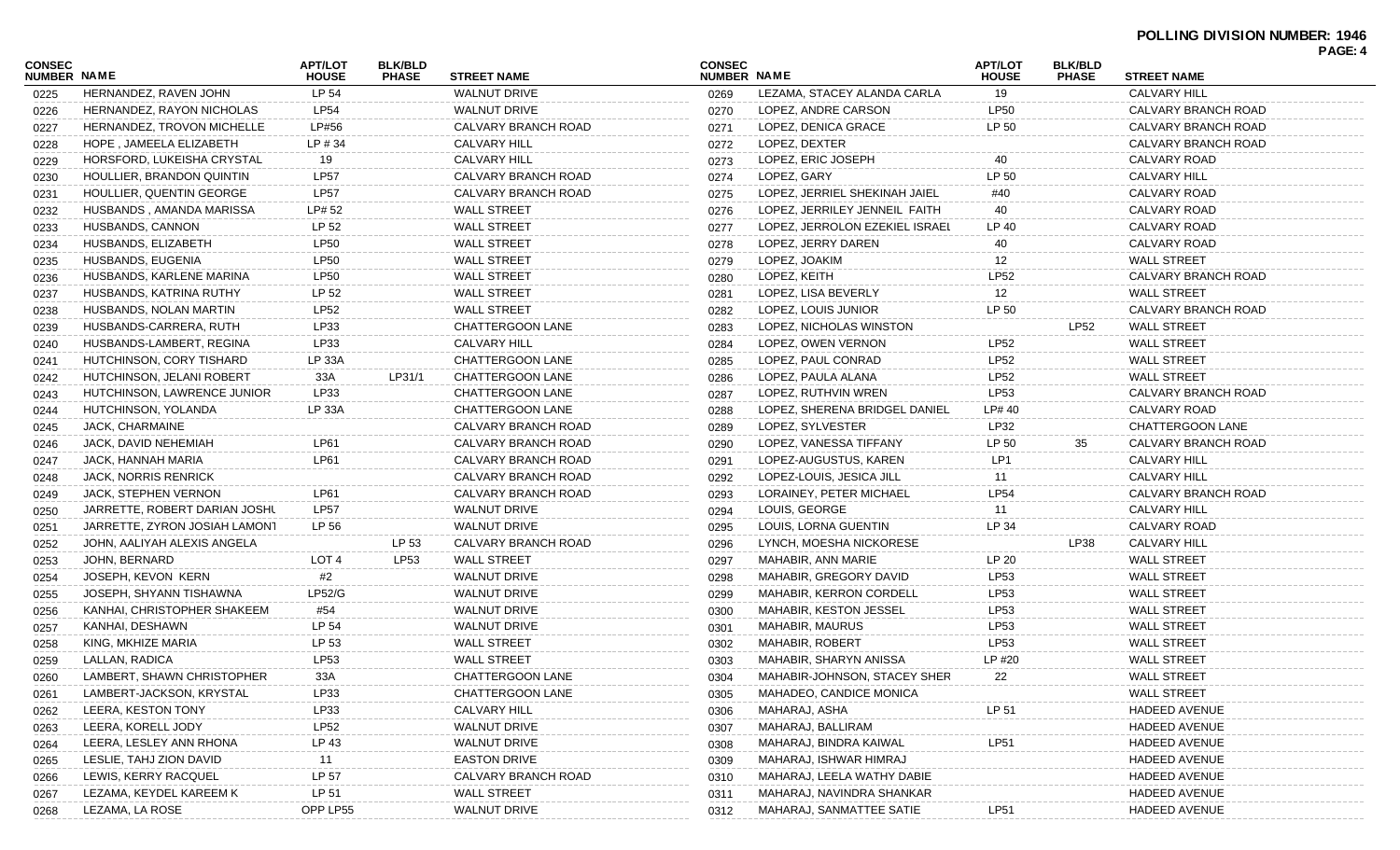| CONSEC<br><b>NUMBER NAME</b> |                               | <b>APT/LOT</b><br><b>HOUSE</b> | <b>BLK/BLD</b><br><b>PHASE</b> | <b>STREET NAME</b>  | <b>CONSEC</b><br>NUMBER NAME |                                | <b>APT/LOT</b><br><b>HOUSE</b> | <b>BLK/BLD</b><br><b>PHASE</b> | <b>STREET NAME</b>   | PAGE: 4 |
|------------------------------|-------------------------------|--------------------------------|--------------------------------|---------------------|------------------------------|--------------------------------|--------------------------------|--------------------------------|----------------------|---------|
| 0225                         | HERNANDEZ, RAVEN JOHN         | LP 54                          |                                | <b>WALNUT DRIVE</b> | 0269                         | LEZAMA, STACEY ALANDA CARLA    | 19                             |                                | <b>CALVARY HILL</b>  |         |
| 0226                         | HERNANDEZ, RAYON NICHOLAS     | <b>LP54</b>                    |                                | <b>WALNUT DRIVE</b> | 0270                         | LOPEZ, ANDRE CARSON            | <b>LP50</b>                    |                                | CALVARY BRANCH ROAD  |         |
| 0227                         | HERNANDEZ, TROVON MICHELLE    | LP#56                          |                                | CALVARY BRANCH ROAD | 0271                         | LOPEZ, DENICA GRACE            | LP 50                          |                                | CALVARY BRANCH ROAD  |         |
| 0228                         | HOPE, JAMEELA ELIZABETH       | LP#34                          |                                | <b>CALVARY HILL</b> | 0272                         | LOPEZ, DEXTER                  |                                |                                | CALVARY BRANCH ROAD  |         |
| 0229                         | HORSFORD, LUKEISHA CRYSTAL    | 19                             |                                | <b>CALVARY HILL</b> | 0273                         | LOPEZ, ERIC JOSEPH             | 40                             |                                | CALVARY ROAD         |         |
| 0230                         | HOULLIER, BRANDON QUINTIN     | <b>LP57</b>                    |                                | CALVARY BRANCH ROAD | 0274                         | LOPEZ, GARY                    | LP 50                          |                                | <b>CALVARY HILL</b>  |         |
| 0231                         | HOULLIER, QUENTIN GEORGE      | <b>LP57</b>                    |                                | CALVARY BRANCH ROAD | 0275                         | LOPEZ. JERRIEL SHEKINAH JAIEL  | #40                            |                                | CALVARY ROAD         |         |
| 0232                         | HUSBANDS, AMANDA MARISSA      | LP# 52                         |                                | <b>WALL STREET</b>  | 0276                         | LOPEZ, JERRILEY JENNEIL FAITH  | 40                             |                                | CALVARY ROAD         |         |
| 0233                         | HUSBANDS, CANNON              | LP 52                          |                                | <b>WALL STREET</b>  | 0277                         | LOPEZ. JERROLON EZEKIEL ISRAEL | LP 40                          |                                | CALVARY ROAD         |         |
| 0234                         | HUSBANDS, ELIZABETH           | <b>LP50</b>                    |                                | <b>WALL STREET</b>  | 0278                         | LOPEZ. JERRY DAREN             | 40                             |                                | CALVARY ROAD         |         |
| 0235                         | HUSBANDS, EUGENIA             | <b>LP50</b>                    |                                | <b>WALL STREET</b>  | 0279                         | LOPEZ, JOAKIM                  | 12                             |                                | <b>WALL STREET</b>   |         |
| 0236                         | HUSBANDS, KARLENE MARINA      | <b>LP50</b>                    |                                | <b>WALL STREET</b>  | 0280                         | LOPEZ, KEITH                   | <b>LP52</b>                    |                                | CALVARY BRANCH ROAD  |         |
| 0237                         | HUSBANDS, KATRINA RUTHY       | LP 52                          |                                | <b>WALL STREET</b>  | 0281                         | LOPEZ, LISA BEVERLY            | 12                             |                                | <b>WALL STREET</b>   |         |
| 0238                         | HUSBANDS, NOLAN MARTIN        | <b>LP52</b>                    |                                | <b>WALL STREET</b>  | 0282                         | LOPEZ, LOUIS JUNIOR            | LP 50                          |                                | CALVARY BRANCH ROAD  |         |
| 0239                         | HUSBANDS-CARRERA, RUTH        | LP33                           |                                | CHATTERGOON LANE    | 0283                         | LOPEZ, NICHOLAS WINSTON        |                                | <b>LP52</b>                    | <b>WALL STREET</b>   |         |
| 0240                         | HUSBANDS-LAMBERT, REGINA      | LP33                           |                                | <b>CALVARY HILL</b> | 0284                         | LOPEZ, OWEN VERNON             | LP52                           |                                | <b>WALL STREET</b>   |         |
| 0241                         | HUTCHINSON, CORY TISHARD      | LP 33A                         |                                | CHATTERGOON LANE    | 0285                         | LOPEZ, PAUL CONRAD             | LP52                           |                                | <b>WALL STREET</b>   |         |
| 0242                         | HUTCHINSON, JELANI ROBERT     | 33A                            | LP31/1                         | CHATTERGOON LANE    | 0286                         | LOPEZ, PAULA ALANA             | LP52                           |                                | <b>WALL STREET</b>   |         |
| 0243                         | HUTCHINSON, LAWRENCE JUNIOR   | LP33                           |                                | CHATTERGOON LANE    | 0287                         | LOPEZ, RUTHVIN WREN            | LP53                           |                                | CALVARY BRANCH ROAD  |         |
| 0244                         | HUTCHINSON, YOLANDA           | LP 33A                         |                                | CHATTERGOON LANE    | 0288                         | LOPEZ, SHERENA BRIDGEL DANIEL  | LP# 40                         |                                | CALVARY ROAD         |         |
| 0245                         | JACK, CHARMAINE               |                                |                                | CALVARY BRANCH ROAD | 0289                         | LOPEZ, SYLVESTER               | LP32                           |                                | CHATTERGOON LANE     |         |
| 0246                         | JACK, DAVID NEHEMIAH          | LP61                           |                                | CALVARY BRANCH ROAD | 0290                         | LOPEZ, VANESSA TIFFANY         | LP 50                          | 35                             | CALVARY BRANCH ROAD  |         |
| 0247                         | JACK, HANNAH MARIA            | LP61                           |                                | CALVARY BRANCH ROAD | 0291                         | LOPEZ-AUGUSTUS, KAREN          | LP1                            |                                | <b>CALVARY HILL</b>  |         |
| 0248                         | <b>JACK, NORRIS RENRICK</b>   |                                |                                | CALVARY BRANCH ROAD | 0292                         | LOPEZ-LOUIS, JESICA JILL       | 11                             |                                | <b>CALVARY HILL</b>  |         |
| 0249                         | JACK, STEPHEN VERNON          | LP61                           |                                | CALVARY BRANCH ROAD | 0293                         | LORAINEY, PETER MICHAEL        | <b>LP54</b>                    |                                | CALVARY BRANCH ROAD  |         |
| 0250                         | JARRETTE, ROBERT DARIAN JOSHL | <b>LP57</b>                    |                                | <b>WALNUT DRIVE</b> | 0294                         | LOUIS, GEORGE                  | 11                             |                                | <b>CALVARY HILL</b>  |         |
| 0251                         | JARRETTE, ZYRON JOSIAH LAMONT | LP 56                          |                                | <b>WALNUT DRIVE</b> | 0295                         | LOUIS, LORNA GUENTIN           | LP 34                          |                                | CALVARY ROAD         |         |
| 0252                         | JOHN, AALIYAH ALEXIS ANGELA   |                                | LP 53                          | CALVARY BRANCH ROAD | 0296                         | LYNCH, MOESHA NICKORESE        |                                | LP38                           | <b>CALVARY HILL</b>  |         |
| 0253                         | JOHN, BERNARD                 | LOT 4                          | LP53                           | <b>WALL STREET</b>  | 0297                         | MAHABIR, ANN MARIE             | LP 20                          |                                | <b>WALL STREET</b>   |         |
| 0254                         | JOSEPH, KEVON KERN            | #2                             |                                | <b>WALNUT DRIVE</b> | 0298                         | MAHABIR, GREGORY DAVID         | LP53                           |                                | <b>WALL STREET</b>   |         |
| 0255                         | JOSEPH, SHYANN TISHAWNA       | LP52/G                         |                                | <b>WALNUT DRIVE</b> | 0299                         | <b>MAHABIR, KERRON CORDELL</b> | LP53                           |                                | <b>WALL STREET</b>   |         |
| 0256                         | KANHAI, CHRISTOPHER SHAKEEM   | #54                            |                                | <b>WALNUT DRIVE</b> | 0300                         | MAHABIR, KESTON JESSEL         | LP53                           |                                | <b>WALL STREET</b>   |         |
| 0257                         | KANHAI, DESHAWN               | LP 54                          |                                | <b>WALNUT DRIVE</b> | 0301                         | <b>MAHABIR, MAURUS</b>         | LP53                           |                                | <b>WALL STREET</b>   |         |
| 0258                         | KING, MKHIZE MARIA            | LP 53                          |                                | <b>WALL STREET</b>  | 0302                         | MAHABIR, ROBERT                | LP53                           |                                | <b>WALL STREET</b>   |         |
| 0259                         | LALLAN, RADICA                | LP53                           |                                | <b>WALL STREET</b>  | 0303                         | MAHABIR, SHARYN ANISSA         | LP #20                         |                                | <b>WALL STREET</b>   |         |
| 0260                         | LAMBERT, SHAWN CHRISTOPHER    | 33A                            |                                | CHATTERGOON LANE    | 0304                         | MAHABIR-JOHNSON, STACEY SHER   | 22                             |                                | <b>WALL STREET</b>   |         |
| 0261                         | LAMBERT-JACKSON, KRYSTAL      | LP33                           |                                | CHATTERGOON LANE    | 0305                         | MAHADEO, CANDICE MONICA        |                                |                                | <b>WALL STREET</b>   |         |
| 0262                         | LEERA, KESTON TONY            | LP33                           |                                | CALVARY HILL        | 0306                         | MAHARAJ, ASHA                  | LP 51                          |                                | HADEED AVENUE        |         |
| 0263                         | LEERA, KORELL JODY            | <b>LP52</b>                    |                                | <b>WALNUT DRIVE</b> | 0307                         | MAHARAJ, BALLIRAM              |                                |                                | <b>HADEED AVENUE</b> |         |
| 0264                         | LEERA, LESLEY ANN RHONA       | LP 43                          |                                | <b>WALNUT DRIVE</b> | 0308                         | MAHARAJ, BINDRA KAIWAL         | <b>LP51</b>                    |                                | <b>HADEED AVENUE</b> |         |
| 0265                         | LESLIE, TAHJ ZION DAVID       | 11                             |                                | <b>EASTON DRIVE</b> | 0309                         | MAHARAJ, ISHWAR HIMRAJ         |                                |                                | HADEED AVENUE        |         |
| 0266                         | LEWIS, KERRY RACQUEL          | LP 57                          |                                | CALVARY BRANCH ROAD | 0310                         | MAHARAJ, LEELA WATHY DABIE     |                                |                                | HADEED AVENUE        |         |
| 0267                         | LEZAMA, KEYDEL KAREEM K       | LP 51                          |                                | <b>WALL STREET</b>  | 0311                         | MAHARAJ, NAVINDRA SHANKAR      |                                |                                | HADEED AVENUE        |         |
| 0268                         | LEZAMA, LA ROSE               | OPP LP55                       |                                | WALNUT DRIVE        | 0312                         | MAHARAJ, SANMATTEE SATIE       | LP51                           |                                | HADEED AVENUE        |         |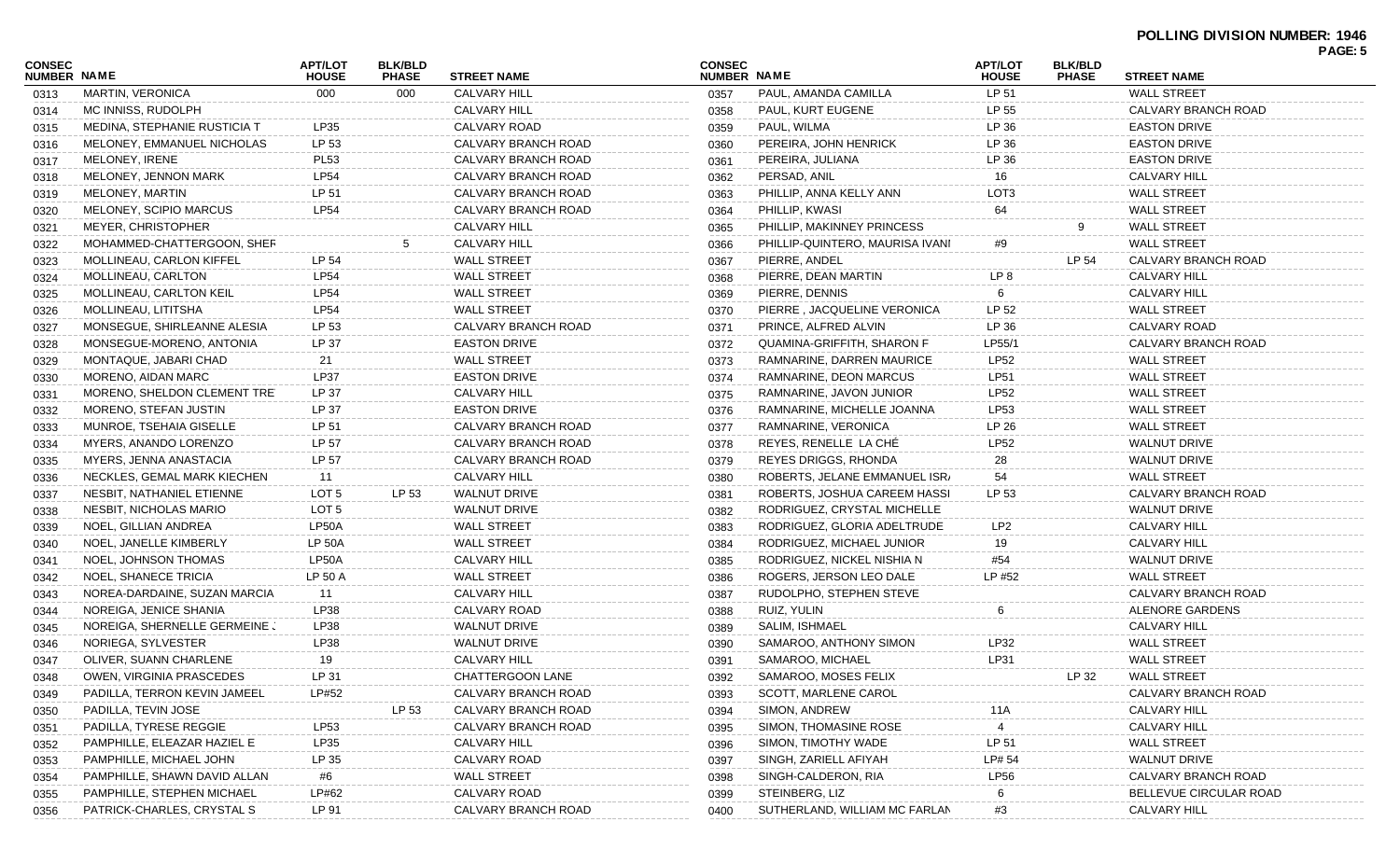| <b>CONSEC</b><br><b>NUMBER NAME</b> |                              | <b>APT/LOT</b><br><b>HOUSE</b> | <b>BLK/BLD</b><br><b>PHASE</b> | <b>STREET NAME</b>  | <b>CONSEC</b><br><b>NUMBER NAME</b> |                                 | <b>APT/LOT</b><br><b>HOUSE</b> | <b>BLK/BLD</b><br><b>PHASE</b> | <b>STREET NAME</b>     |  |
|-------------------------------------|------------------------------|--------------------------------|--------------------------------|---------------------|-------------------------------------|---------------------------------|--------------------------------|--------------------------------|------------------------|--|
| 0313                                | MARTIN, VERONICA             | 000                            | 000                            | <b>CALVARY HILL</b> | 0357                                | PAUL, AMANDA CAMILLA            | LP 51                          |                                | <b>WALL STREET</b>     |  |
| 0314                                | MC INNISS, RUDOLPH           |                                |                                | CALVARY HILL        | 0358                                | PAUL, KURT EUGENE               | LP 55                          |                                | CALVARY BRANCH ROAD    |  |
| 0315                                | MEDINA, STEPHANIE RUSTICIA T | LP35                           |                                | CALVARY ROAD        | 0359                                | PAUL, WILMA                     | LP 36                          |                                | <b>EASTON DRIVE</b>    |  |
| 0316                                | MELONEY, EMMANUEL NICHOLAS   | LP 53                          |                                | CALVARY BRANCH ROAD | 0360                                | PEREIRA, JOHN HENRICK           | LP 36                          |                                | <b>EASTON DRIVE</b>    |  |
| 0317                                | MELONEY, IRENE               | <b>PL53</b>                    |                                | CALVARY BRANCH ROAD | 0361                                | PEREIRA, JULIANA                | LP 36                          |                                | <b>EASTON DRIVE</b>    |  |
| 0318                                | MELONEY, JENNON MARK         | <b>LP54</b>                    |                                | CALVARY BRANCH ROAD | 0362                                | PERSAD, ANIL                    | 16                             |                                | CALVARY HILL           |  |
| 0319                                | <b>MELONEY, MARTIN</b>       | LP 51                          |                                | CALVARY BRANCH ROAD | 0363                                | PHILLIP, ANNA KELLY ANN         | LOT <sub>3</sub>               |                                | <b>WALL STREET</b>     |  |
| 0320                                | MELONEY, SCIPIO MARCUS       | <b>LP54</b>                    |                                | CALVARY BRANCH ROAD | 0364                                | PHILLIP, KWASI                  | 64                             |                                | <b>WALL STREET</b>     |  |
| 0321                                | <b>MEYER, CHRISTOPHER</b>    |                                |                                | CALVARY HILL        | 0365                                | PHILLIP, MAKINNEY PRINCESS      |                                | 9                              | <b>WALL STREET</b>     |  |
| 0322                                | MOHAMMED-CHATTERGOON, SHER   |                                | 5                              | <b>CALVARY HILL</b> | 0366                                | PHILLIP-QUINTERO, MAURISA IVANI | #9                             |                                | <b>WALL STREET</b>     |  |
| 0323                                | MOLLINEAU, CARLON KIFFEL     | LP 54                          |                                | <b>WALL STREET</b>  | 0367                                | PIERRE, ANDEL                   |                                | LP 54                          | CALVARY BRANCH ROAD    |  |
| 0324                                | MOLLINEAU, CARLTON           | <b>LP54</b>                    |                                | <b>WALL STREET</b>  | 0368                                | PIERRE, DEAN MARTIN             | LP 8                           |                                | CALVARY HILL           |  |
| 0325                                | MOLLINEAU, CARLTON KEIL      | <b>LP54</b>                    |                                | <b>WALL STREET</b>  | 0369                                | PIERRE, DENNIS                  | 6                              |                                | CALVARY HILL           |  |
| 0326                                | MOLLINEAU, LITITSHA          | <b>LP54</b>                    |                                | <b>WALL STREET</b>  | 0370                                | PIERRE, JACQUELINE VERONICA     | LP 52                          |                                | <b>WALL STREET</b>     |  |
| 0327                                | MONSEGUE, SHIRLEANNE ALESIA  | LP 53                          |                                | CALVARY BRANCH ROAD | 0371                                | PRINCE, ALFRED ALVIN            | LP 36                          |                                | CALVARY ROAD           |  |
| 0328                                | MONSEGUE-MORENO, ANTONIA     | LP 37                          |                                | <b>EASTON DRIVE</b> | 0372                                | QUAMINA-GRIFFITH, SHARON F      | LP55/1                         |                                | CALVARY BRANCH ROAD    |  |
| 0329                                | MONTAQUE, JABARI CHAD        | 21                             |                                | <b>WALL STREET</b>  | 0373                                | RAMNARINE, DARREN MAURICE       | <b>LP52</b>                    |                                | <b>WALL STREET</b>     |  |
| 0330                                | MORENO, AIDAN MARC           | <b>LP37</b>                    |                                | <b>EASTON DRIVE</b> | 0374                                | RAMNARINE, DEON MARCUS          | <b>LP51</b>                    |                                | <b>WALL STREET</b>     |  |
| 0331                                | MORENO, SHELDON CLEMENT TRET | LP 37                          |                                | CALVARY HILL        | 0375                                | RAMNARINE, JAVON JUNIOR         | <b>LP52</b>                    |                                | <b>WALL STREET</b>     |  |
| 0332                                | MORENO, STEFAN JUSTIN        | LP 37                          |                                | <b>EASTON DRIVE</b> | 0376                                | RAMNARINE, MICHELLE JOANNA      | LP53                           |                                | <b>WALL STREET</b>     |  |
| 0333                                | MUNROE, TSEHAIA GISELLE      | LP 51                          |                                | CALVARY BRANCH ROAD | 0377                                | RAMNARINE, VERONICA             | LP 26                          |                                | <b>WALL STREET</b>     |  |
| 0334                                | MYERS, ANANDO LORENZO        | LP 57                          |                                | CALVARY BRANCH ROAD | 0378                                | REYES, RENELLE LA CHE           | <b>LP52</b>                    |                                | <b>WALNUT DRIVE</b>    |  |
| 0335                                | MYERS, JENNA ANASTACIA       | LP 57                          |                                | CALVARY BRANCH ROAD | 0379                                | REYES DRIGGS, RHONDA            | 28                             |                                | <b>WALNUT DRIVE</b>    |  |
| 0336                                | NECKLES, GEMAL MARK KIECHEN  | 11                             |                                | CALVARY HILL        | 0380                                | ROBERTS, JELANE EMMANUEL ISR/   | 54                             |                                | <b>WALL STREET</b>     |  |
| 0337                                | NESBIT, NATHANIEL ETIENNE    | LOT <sub>5</sub>               | LP 53                          | <b>WALNUT DRIVE</b> | 0381                                | ROBERTS, JOSHUA CAREEM HASSI    | LP 53                          |                                | CALVARY BRANCH ROAD    |  |
| 0338                                | NESBIT, NICHOLAS MARIO       | LOT <sub>5</sub>               |                                | <b>WALNUT DRIVE</b> | 0382                                | RODRIGUEZ, CRYSTAL MICHELLE     |                                |                                | <b>WALNUT DRIVE</b>    |  |
| 0339                                | NOEL, GILLIAN ANDREA         | LP50A                          |                                | <b>WALL STREET</b>  | 0383                                | RODRIGUEZ, GLORIA ADELTRUDE     | LP <sub>2</sub>                |                                | CALVARY HILL           |  |
| 0340                                | NOEL, JANELLE KIMBERLY       | <b>LP 50A</b>                  |                                | <b>WALL STREET</b>  | 0384                                | RODRIGUEZ, MICHAEL JUNIOR       | 19                             |                                | CALVARY HILL           |  |
| 0341                                | NOEL, JOHNSON THOMAS         | LP50A                          |                                | <b>CALVARY HILL</b> | 0385                                | RODRIGUEZ, NICKEL NISHIA N      | #54                            |                                | <b>WALNUT DRIVE</b>    |  |
| 0342                                | <b>NOEL, SHANECE TRICIA</b>  | LP 50 A                        |                                | <b>WALL STREET</b>  | 0386                                | ROGERS, JERSON LEO DALE         | LP #52                         |                                | <b>WALL STREET</b>     |  |
| 0343                                | NOREA-DARDAINE, SUZAN MARCIA | 11                             |                                | CALVARY HILL        | 0387                                | RUDOLPHO, STEPHEN STEVE         |                                |                                | CALVARY BRANCH ROAD    |  |
| 0344                                | NOREIGA, JENICE SHANIA       | LP38                           |                                | <b>CALVARY ROAD</b> | 0388                                | RUIZ, YULIN                     | 6                              |                                | ALENORE GARDENS        |  |
|                                     | NOREIGA, SHERNELLE GERMEINE. | LP38                           |                                | <b>WALNUT DRIVE</b> |                                     | SALIM, ISHMAEL                  |                                |                                | CALVARY HILL           |  |
| 0345                                | NORIEGA, SYLVESTER           | LP38                           |                                | <b>WALNUT DRIVE</b> | 0389<br>0390                        | SAMAROO, ANTHONY SIMON          | LP32                           |                                | <b>WALL STREET</b>     |  |
| 0346                                | OLIVER, SUANN CHARLENE       | 19                             |                                | <b>CALVARY HILL</b> |                                     | SAMAROO, MICHAEL                | LP31                           |                                | <b>WALL STREET</b>     |  |
| 0347                                | OWEN, VIRGINIA PRASCEDES     | LP 31                          |                                | CHATTERGOON LANE    | 0391                                | SAMAROO, MOSES FELIX            |                                | P 32                           | <b>WALL STREET</b>     |  |
| 0348                                |                              | LP#52                          |                                | CALVARY BRANCH ROAD | 0392                                | <b>SCOTT, MARLENE CAROL</b>     |                                |                                |                        |  |
| 0349                                | PADILLA, TERRON KEVIN JAMEEL |                                | LP 53                          |                     | 0393                                | SIMON, ANDREW                   |                                |                                | CALVARY BRANCH ROAD    |  |
| 0350                                | PADILLA, TEVIN JOSE          |                                |                                | CALVARY BRANCH ROAD | 0394                                |                                 | 11A                            |                                | CALVARY HILL           |  |
| 0351                                | PADILLA, TYRESE REGGIE       | LP53                           |                                | CALVARY BRANCH ROAD | 0395                                | SIMON, THOMASINE ROSE           |                                |                                | CALVARY HILL           |  |
| 0352                                | PAMPHILLE, ELEAZAR HAZIEL E  | LP35                           |                                | CALVARY HILL        | 0396                                | SIMON, TIMOTHY WADE             | LP 51                          |                                | <b>WALL STREET</b>     |  |
| 0353                                | PAMPHILLE, MICHAEL JOHN      | LP 35                          |                                | CALVARY ROAD        | 0397                                | SINGH, ZARIELL AFIYAH           | LP# 54                         |                                | <b>WALNUT DRIVE</b>    |  |
| 0354                                | PAMPHILLE, SHAWN DAVID ALLAN | #6                             |                                | <b>WALL STREET</b>  | 0398                                | SINGH-CALDERON, RIA             | <b>LP56</b>                    |                                | CALVARY BRANCH ROAD    |  |
| 0355                                | PAMPHILLE, STEPHEN MICHAEL   | LP#62                          |                                | CALVARY ROAD        | 0399                                | STEINBERG, LIZ                  | 6                              |                                | BELLEVUE CIRCULAR ROAD |  |
| 0356                                | PATRICK-CHARLES, CRYSTAL S   | LP 91                          |                                | CALVARY BRANCH ROAD | 0400                                | SUTHERLAND, WILLIAM MC FARLAN   | #3                             |                                | CALVARY HILL           |  |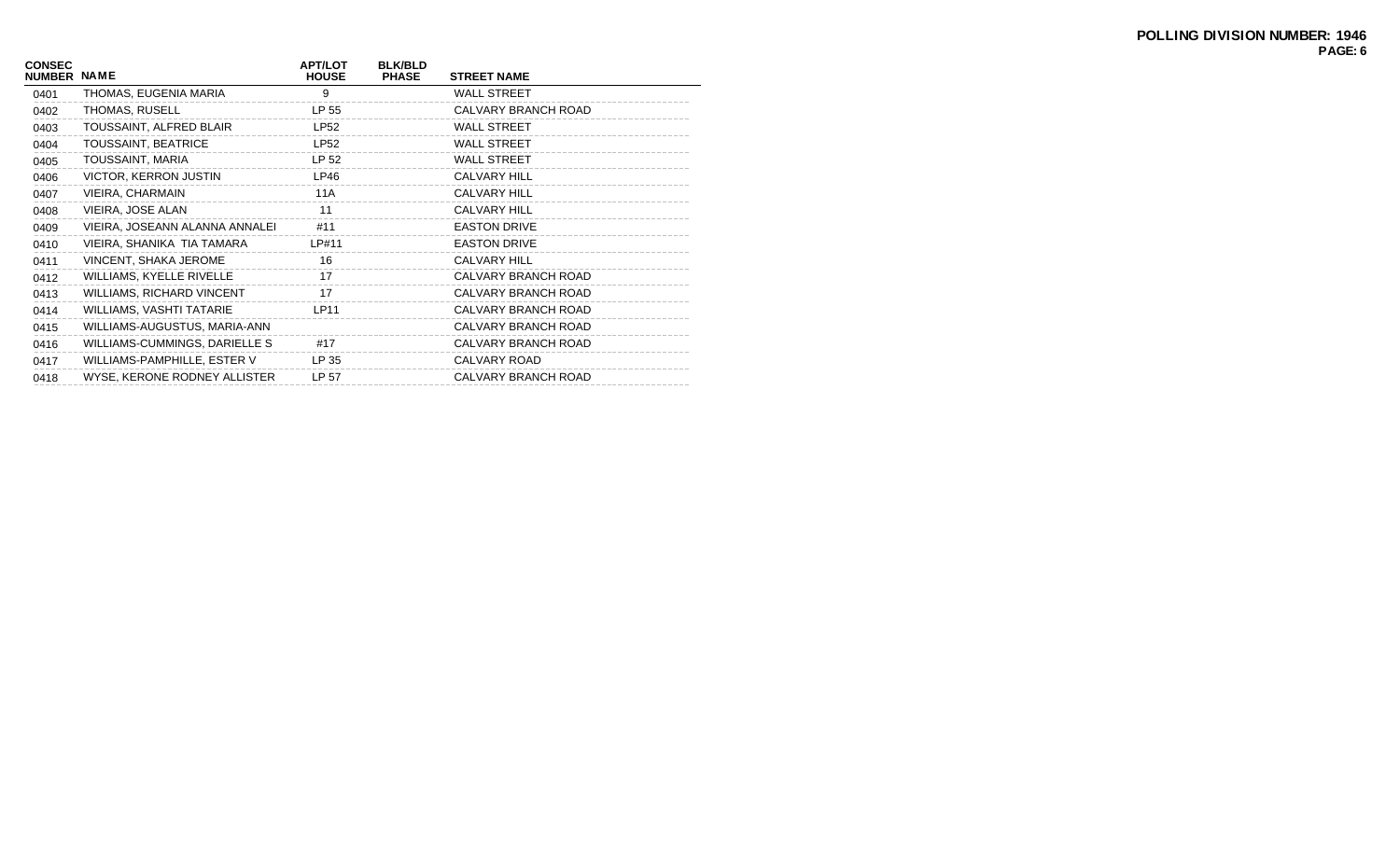| <b>CONSEC</b><br><b>NUMBER</b> | <b>NAME</b>                      | <b>APT/LOT</b><br><b>HOUSE</b> | <b>BLK/BLD</b><br><b>PHASE</b> | <b>STREET NAME</b>  |
|--------------------------------|----------------------------------|--------------------------------|--------------------------------|---------------------|
| 0401                           | THOMAS, EUGENIA MARIA            | 9                              |                                | <b>WALL STREET</b>  |
| 0402                           | THOMAS, RUSELL                   | LP 55                          |                                | CALVARY BRANCH ROAD |
| 0403                           | TOUSSAINT, ALFRED BLAIR          | <b>LP52</b>                    |                                | <b>WALL STREET</b>  |
| 0404                           | TOUSSAINT, BEATRICE              | <b>LP52</b>                    |                                | <b>WALL STREET</b>  |
| 0405                           | TOUSSAINT, MARIA                 | LP 52                          |                                | <b>WALL STREET</b>  |
| 0406                           | VICTOR, KERRON JUSTIN            | LP46                           |                                | <b>CALVARY HILL</b> |
| 0407                           | VIEIRA, CHARMAIN                 | 11A                            |                                | <b>CALVARY HILL</b> |
| 0408                           | VIEIRA, JOSE ALAN                | 11                             |                                | <b>CALVARY HILL</b> |
| 0409                           | VIEIRA, JOSEANN ALANNA ANNALEI   | #11                            |                                | <b>EASTON DRIVE</b> |
| 0410                           | VIEIRA, SHANIKA TIA TAMARA       | LP#11                          |                                | <b>EASTON DRIVE</b> |
| 0411                           | VINCENT, SHAKA JEROME            | 16                             |                                | <b>CALVARY HILL</b> |
| 0412                           | WILLIAMS, KYELLE RIVELLE         | 17                             |                                | CALVARY BRANCH ROAD |
| 0413                           | <b>WILLIAMS, RICHARD VINCENT</b> | 17                             |                                | CALVARY BRANCH ROAD |
| 0414                           | <b>WILLIAMS, VASHTI TATARIE</b>  | LP11                           |                                | CALVARY BRANCH ROAD |
| 0415                           | WILLIAMS-AUGUSTUS, MARIA-ANN     |                                |                                | CALVARY BRANCH ROAD |
| 0416                           | WILLIAMS-CUMMINGS, DARIELLE S    | #17                            |                                | CALVARY BRANCH ROAD |
| 0417                           | WILLIAMS-PAMPHILLE, ESTER V      | LP 35                          |                                | CALVARY ROAD        |
| 0418                           | WYSE, KERONE RODNEY ALLISTER     | LP 57                          |                                | CALVARY BRANCH ROAD |
|                                |                                  |                                |                                |                     |